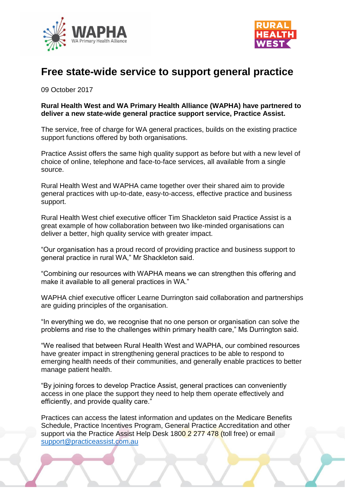



## **Free state-wide service to support general practice**

09 October 2017

## **Rural Health West and WA Primary Health Alliance (WAPHA) have partnered to deliver a new state-wide general practice support service, Practice Assist.**

The service, free of charge for WA general practices, builds on the existing practice support functions offered by both organisations.

Practice Assist offers the same high quality support as before but with a new level of choice of online, telephone and face-to-face services, all available from a single source.

Rural Health West and WAPHA came together over their shared aim to provide general practices with up-to-date, easy-to-access, effective practice and business support.

Rural Health West chief executive officer Tim Shackleton said Practice Assist is a great example of how collaboration between two like-minded organisations can deliver a better, high quality service with greater impact.

"Our organisation has a proud record of providing practice and business support to general practice in rural WA," Mr Shackleton said.

"Combining our resources with WAPHA means we can strengthen this offering and make it available to all general practices in WA."

WAPHA chief executive officer Learne Durrington said collaboration and partnerships are guiding principles of the organisation.

"In everything we do, we recognise that no one person or organisation can solve the problems and rise to the challenges within primary health care," Ms Durrington said.

"We realised that between Rural Health West and WAPHA, our combined resources have greater impact in strengthening general practices to be able to respond to emerging health needs of their communities, and generally enable practices to better manage patient health.

"By joining forces to develop Practice Assist, general practices can conveniently access in one place the support they need to help them operate effectively and efficiently, and provide quality care."

Practices can access the latest information and updates on the Medicare Benefits Schedule, Practice Incentives Program, General Practice Accreditation and other support via the Practice Assist Help Desk 1800 2 277 478 (toll free) or email [support@practiceassist.com.au](mailto:support@practiceassist.com.au)